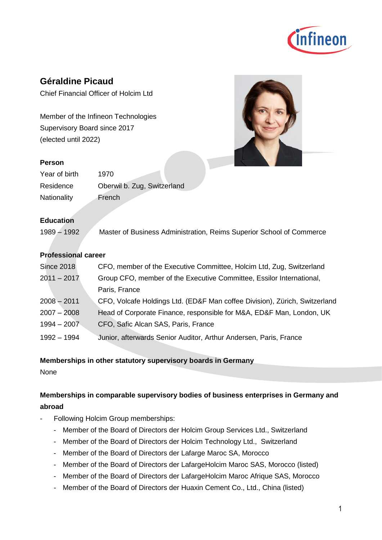

# **Géraldine Picaud**

Chief Financial Officer of Holcim Ltd

Member of the Infineon Technologies Supervisory Board since 2017 (elected until 2022)

#### **Person**

| Year of birth      | 1970                        |
|--------------------|-----------------------------|
| Residence          | Oberwil b. Zug, Switzerland |
| <b>Nationality</b> | French                      |

### **Education**

1989 – 1992 Master of Business Administration, Reims Superior School of Commerce

### **Professional career**

| <b>Since 2018</b> | CFO, member of the Executive Committee, Holcim Ltd, Zug, Switzerland       |
|-------------------|----------------------------------------------------------------------------|
| $2011 - 2017$     | Group CFO, member of the Executive Committee, Essilor International,       |
|                   | Paris, France                                                              |
| $2008 - 2011$     | CFO, Volcafe Holdings Ltd. (ED&F Man coffee Division), Zürich, Switzerland |
| $2007 - 2008$     | Head of Corporate Finance, responsible for M&A, ED&F Man, London, UK       |
| $1994 - 2007$     | CFO, Safic Alcan SAS, Paris, France                                        |
| 1992 – 1994       | Junior, afterwards Senior Auditor, Arthur Andersen, Paris, France          |

#### **Memberships in other statutory supervisory boards in Germany**

None

## **Memberships in comparable supervisory bodies of business enterprises in Germany and abroad**

- Following Holcim Group memberships:
	- Member of the Board of Directors der Holcim Group Services Ltd., Switzerland
	- Member of the Board of Directors der Holcim Technology Ltd., Switzerland
	- Member of the Board of Directors der Lafarge Maroc SA, Morocco
	- Member of the Board of Directors der LafargeHolcim Maroc SAS, Morocco (listed)
	- Member of the Board of Directors der LafargeHolcim Maroc Afrique SAS, Morocco
	- Member of the Board of Directors der Huaxin Cement Co., Ltd., China (listed)